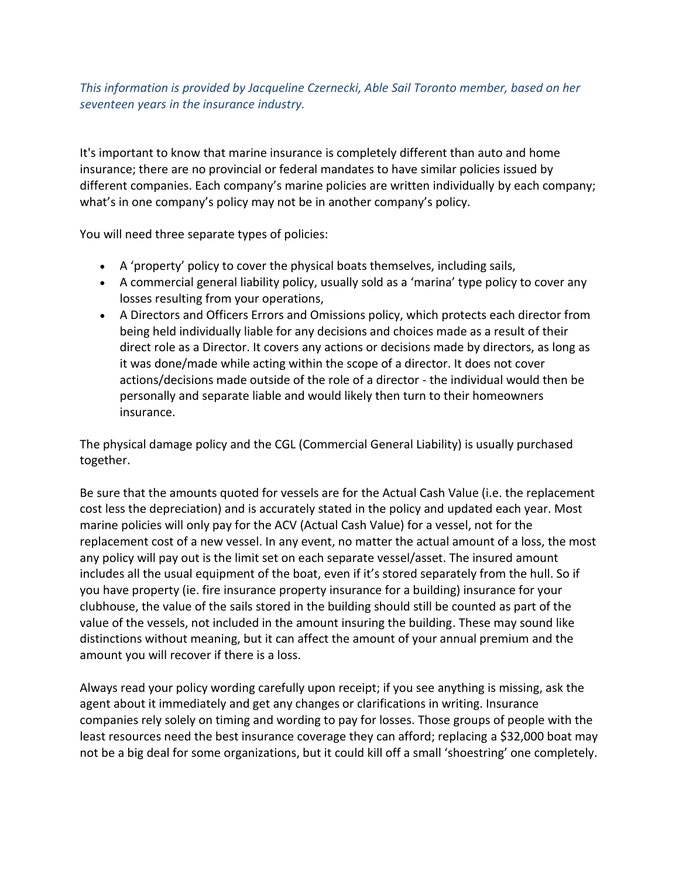## *This information is provided by Jacqueline Czernecki, Able Sail Toronto member, based on her seventeen years in the insurance industry.*

It's important to know that marine insurance is completely different than auto and home insurance; there are no provincial or federal mandates to have similar policies issued by different companies. Each company's marine policies are written individually by each company; what's in one company's policy may not be in another company's policy.

You will need three separate types of policies:

- A 'property' policy to cover the physical boats themselves, including sails,
- A commercial general liability policy, usually sold as a 'marina' type policy to cover any losses resulting from your operations,
- A Directors and Officers Errors and Omissions policy, which protects each director from being held individually liable for any decisions and choices made as a result of their direct role as a Director. It covers any actions or decisions made by directors, as long as it was done/made while acting within the scope of a director. It does not cover actions/decisions made outside of the role of a director - the individual would then be personally and separate liable and would likely then turn to their homeowners insurance.

The physical damage policy and the CGL (Commercial General Liability) is usually purchased together.

Be sure that the amounts quoted for vessels are for the Actual Cash Value (i.e. the replacement cost less the depreciation) and is accurately stated in the policy and updated each year. Most marine policies will only pay for the ACV (Actual Cash Value) for a vessel, not for the replacement cost of a new vessel. In any event, no matter the actual amount of a loss, the most any policy will pay out is the limit set on each separate vessel/asset. The insured amount includes all the usual equipment of the boat, even if it's stored separately from the hull. So if you have property (ie. fire insurance property insurance for a building) insurance for your clubhouse, the value of the sails stored in the building should still be counted as part of the value of the vessels, not included in the amount insuring the building. These may sound like distinctions without meaning, but it can affect the amount of your annual premium and the amount you will recover if there is a loss.

Always read your policy wording carefully upon receipt; if you see anything is missing, ask the agent about it immediately and get any changes or clarifications in writing. Insurance companies rely solely on timing and wording to pay for losses. Those groups of people with the least resources need the best insurance coverage they can afford; replacing a \$32,000 boat may not be a big deal for some organizations, but it could kill off a small 'shoestring' one completely.